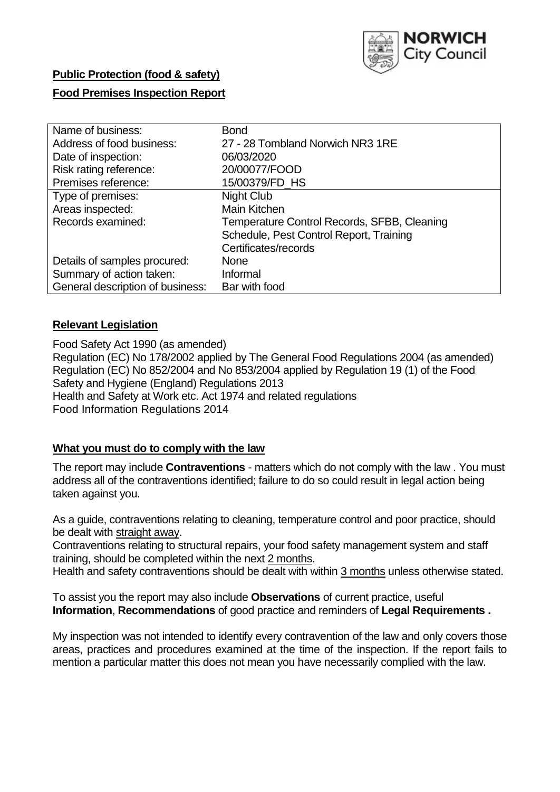

# **Public Protection (food & safety)**

# **Food Premises Inspection Report**

| Name of business:                | <b>Bond</b>                                 |
|----------------------------------|---------------------------------------------|
| Address of food business:        | 27 - 28 Tombland Norwich NR3 1RE            |
| Date of inspection:              | 06/03/2020                                  |
| Risk rating reference:           | 20/00077/FOOD                               |
| Premises reference:              | 15/00379/FD HS                              |
| Type of premises:                | <b>Night Club</b>                           |
| Areas inspected:                 | Main Kitchen                                |
| Records examined:                | Temperature Control Records, SFBB, Cleaning |
|                                  | Schedule, Pest Control Report, Training     |
|                                  | Certificates/records                        |
| Details of samples procured:     | None                                        |
| Summary of action taken:         | Informal                                    |
| General description of business: | Bar with food                               |

## **Relevant Legislation**

Food Safety Act 1990 (as amended) Regulation (EC) No 178/2002 applied by The General Food Regulations 2004 (as amended) Regulation (EC) No 852/2004 and No 853/2004 applied by Regulation 19 (1) of the Food Safety and Hygiene (England) Regulations 2013 Health and Safety at Work etc. Act 1974 and related regulations Food Information Regulations 2014

# **What you must do to comply with the law**

The report may include **Contraventions** - matters which do not comply with the law . You must address all of the contraventions identified; failure to do so could result in legal action being taken against you.

As a guide, contraventions relating to cleaning, temperature control and poor practice, should be dealt with straight away.

Contraventions relating to structural repairs, your food safety management system and staff training, should be completed within the next 2 months.

Health and safety contraventions should be dealt with within 3 months unless otherwise stated.

To assist you the report may also include **Observations** of current practice, useful **Information**, **Recommendations** of good practice and reminders of **Legal Requirements .**

My inspection was not intended to identify every contravention of the law and only covers those areas, practices and procedures examined at the time of the inspection. If the report fails to mention a particular matter this does not mean you have necessarily complied with the law.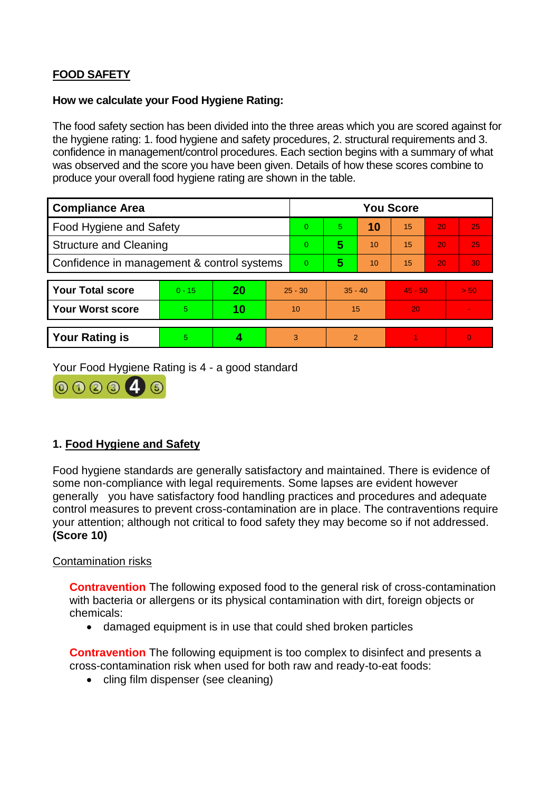# **FOOD SAFETY**

#### **How we calculate your Food Hygiene Rating:**

The food safety section has been divided into the three areas which you are scored against for the hygiene rating: 1. food hygiene and safety procedures, 2. structural requirements and 3. confidence in management/control procedures. Each section begins with a summary of what was observed and the score you have been given. Details of how these scores combine to produce your overall food hygiene rating are shown in the table.

| <b>Compliance Area</b>                     |          |    |                | <b>You Score</b> |                |    |           |    |          |  |  |
|--------------------------------------------|----------|----|----------------|------------------|----------------|----|-----------|----|----------|--|--|
| Food Hygiene and Safety                    |          |    |                | $\Omega$         | 5.             | 10 | 15        | 20 | 25       |  |  |
| <b>Structure and Cleaning</b>              |          |    |                | $\Omega$         | 5              | 10 | 15        | 20 | 25       |  |  |
| Confidence in management & control systems |          |    | $\overline{0}$ | 5                | 10             | 15 | 20        | 30 |          |  |  |
|                                            |          |    |                |                  |                |    |           |    |          |  |  |
| <b>Your Total score</b>                    | $0 - 15$ | 20 | $25 - 30$      |                  | $35 - 40$      |    | $45 - 50$ |    | > 50     |  |  |
| <b>Your Worst score</b>                    | 5        | 10 | 10             |                  | 15             |    | 20        |    |          |  |  |
|                                            |          |    |                |                  |                |    |           |    |          |  |  |
| <b>Your Rating is</b>                      | 5        |    |                | 3                | $\overline{2}$ |    |           |    | $\Omega$ |  |  |

Your Food Hygiene Rating is 4 - a good standard



# **1. Food Hygiene and Safety**

Food hygiene standards are generally satisfactory and maintained. There is evidence of some non-compliance with legal requirements. Some lapses are evident however generally you have satisfactory food handling practices and procedures and adequate control measures to prevent cross-contamination are in place. The contraventions require your attention; although not critical to food safety they may become so if not addressed. **(Score 10)**

#### Contamination risks

**Contravention** The following exposed food to the general risk of cross-contamination with bacteria or allergens or its physical contamination with dirt, foreign objects or chemicals:

damaged equipment is in use that could shed broken particles

**Contravention** The following equipment is too complex to disinfect and presents a cross-contamination risk when used for both raw and ready-to-eat foods:

• cling film dispenser (see cleaning)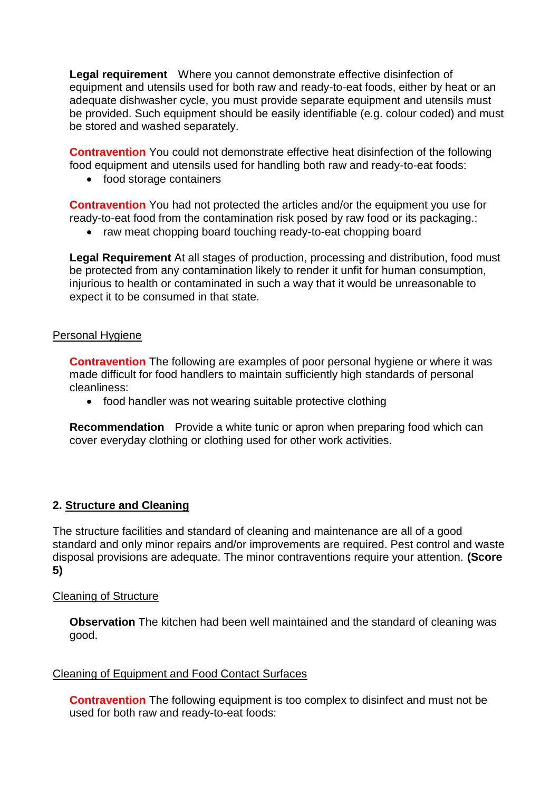**Legal requirement** Where you cannot demonstrate effective disinfection of equipment and utensils used for both raw and ready-to-eat foods, either by heat or an adequate dishwasher cycle, you must provide separate equipment and utensils must be provided. Such equipment should be easily identifiable (e.g. colour coded) and must be stored and washed separately.

**Contravention** You could not demonstrate effective heat disinfection of the following food equipment and utensils used for handling both raw and ready-to-eat foods:

• food storage containers

**Contravention** You had not protected the articles and/or the equipment you use for ready-to-eat food from the contamination risk posed by raw food or its packaging.:

• raw meat chopping board touching ready-to-eat chopping board

**Legal Requirement** At all stages of production, processing and distribution, food must be protected from any contamination likely to render it unfit for human consumption, injurious to health or contaminated in such a way that it would be unreasonable to expect it to be consumed in that state.

#### Personal Hygiene

**Contravention** The following are examples of poor personal hygiene or where it was made difficult for food handlers to maintain sufficiently high standards of personal cleanliness:

• food handler was not wearing suitable protective clothing

**Recommendation** Provide a white tunic or apron when preparing food which can cover everyday clothing or clothing used for other work activities.

#### **2. Structure and Cleaning**

The structure facilities and standard of cleaning and maintenance are all of a good standard and only minor repairs and/or improvements are required. Pest control and waste disposal provisions are adequate. The minor contraventions require your attention. **(Score 5)**

#### Cleaning of Structure

**Observation** The kitchen had been well maintained and the standard of cleaning was good.

#### Cleaning of Equipment and Food Contact Surfaces

**Contravention** The following equipment is too complex to disinfect and must not be used for both raw and ready-to-eat foods: